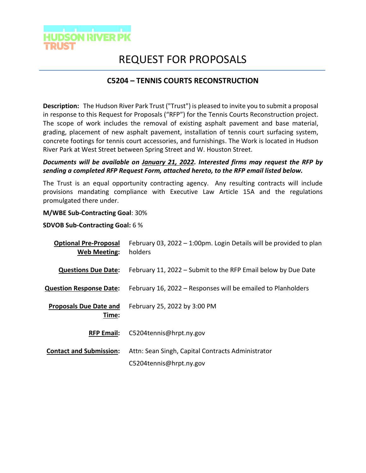

# REQUEST FOR PROPOSALS

## **C5204 – TENNIS COURTS RECONSTRUCTION**

**Description:** The Hudson River Park Trust ("Trust") is pleased to invite you to submit a proposal in response to this Request for Proposals ("RFP") for the Tennis Courts Reconstruction project. The scope of work includes the removal of existing asphalt pavement and base material, grading, placement of new asphalt pavement, installation of tennis court surfacing system, concrete footings for tennis court accessories, and furnishings. The Work is located in Hudson River Park at West Street between Spring Street and W. Houston Street.

### *Documents will be available on January 21, 2022. Interested firms may request the RFP by sending a completed RFP Request Form, attached hereto, to the RFP email listed below.*

The Trust is an equal opportunity contracting agency. Any resulting contracts will include provisions mandating compliance with Executive Law Article 15A and the regulations promulgated there under.

#### **M/WBE Sub-Contracting Goal**: 30%

#### **SDVOB Sub-Contracting Goal:** 6 %

| <b>Optional Pre-Proposal</b><br><b>Web Meeting:</b> | February 03, 2022 – 1:00pm. Login Details will be provided to plan<br>holders |
|-----------------------------------------------------|-------------------------------------------------------------------------------|
| <b>Questions Due Date:</b>                          | February 11, 2022 – Submit to the RFP Email below by Due Date                 |
| <b>Question Response Date:</b>                      | February 16, 2022 – Responses will be emailed to Planholders                  |
| <b>Proposals Due Date and</b><br>Time:              | February 25, 2022 by 3:00 PM                                                  |
| <b>RFP Email:</b>                                   | C5204tennis@hrpt.ny.gov                                                       |
| <b>Contact and Submission:</b>                      | Attn: Sean Singh, Capital Contracts Administrator                             |
|                                                     | C5204tennis@hrpt.ny.gov                                                       |